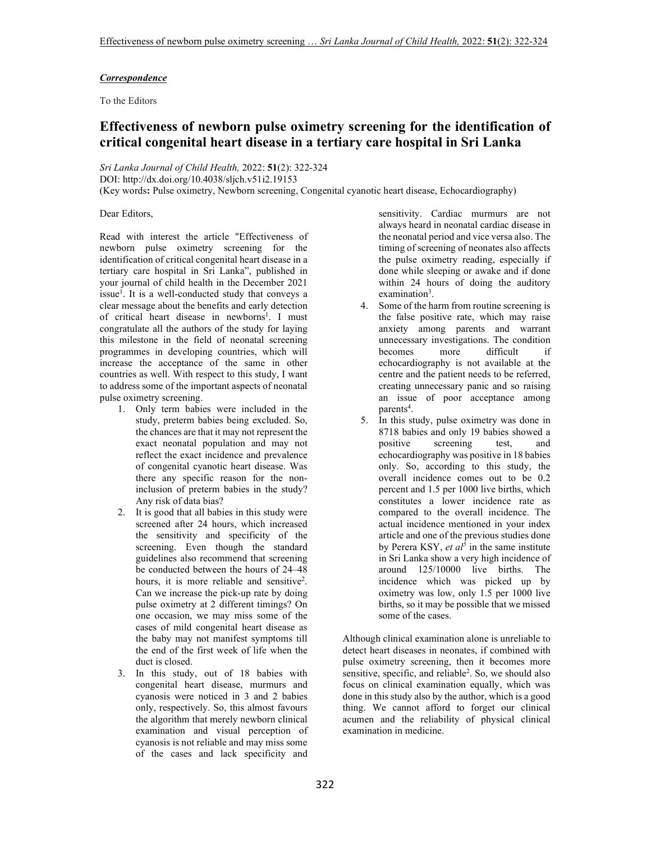# *Correspondence*

To the Editors

# **Effectiveness of newborn pulse oximetry screening for the identification of critical congenital heart disease in a tertiary care hospital in Sri Lanka**

*Sri Lanka Journal of Child Health,* 2022: **51**(2): 322-324 DOI: http://dx.doi.org/10.4038/sljch.v51i2.19153 (Key words**:** Pulse oximetry, Newborn screening, Congenital cyanotic heart disease, Echocardiography)

# Dear Editors,

Read with interest the article "Effectiveness of newborn pulse oximetry screening for the identification of critical congenital heart disease in a tertiary care hospital in Sri Lanka", published in your journal of child health in the December 2021 issue<sup>1</sup>. It is a well-conducted study that conveys a clear message about the benefits and early detection of critical heart disease in newborns<sup>1</sup>. I must congratulate all the authors of the study for laying this milestone in the field of neonatal screening programmes in developing countries, which will increase the acceptance of the same in other countries as well. With respect to this study, I want to address some of the important aspects of neonatal pulse oximetry screening.

- 1. Only term babies were included in the study, preterm babies being excluded. So, the chances are that it may not represent the exact neonatal population and may not reflect the exact incidence and prevalence of congenital cyanotic heart disease. Was there any specific reason for the noninclusion of preterm babies in the study? Any risk of data bias?
- 2. It is good that all babies in this study were screened after 24 hours, which increased the sensitivity and specificity of the screening. Even though the standard guidelines also recommend that screening be conducted between the hours of 24–48 hours, it is more reliable and sensitive<sup>2</sup>. Can we increase the pick-up rate by doing pulse oximetry at 2 different timings? On one occasion, we may miss some of the cases of mild congenital heart disease as the baby may not manifest symptoms till the end of the first week of life when the duct is closed.
- 3. In this study, out of 18 babies with congenital heart disease, murmurs and cyanosis were noticed in 3 and 2 babies only, respectively. So, this almost favours the algorithm that merely newborn clinical examination and visual perception of cyanosis is not reliable and may miss some of the cases and lack specificity and

sensitivity. Cardiac murmurs are not always heard in neonatal cardiac disease in the neonatal period and vice versa also. The timing of screening of neonates also affects the pulse oximetry reading, especially if done while sleeping or awake and if done within 24 hours of doing the auditory examination<sup>3</sup>.

- 4. Some of the harm from routine screening is the false positive rate, which may raise anxiety among parents and warrant unnecessary investigations. The condition becomes more difficult echocardiography is not available at the centre and the patient needs to be referred, creating unnecessary panic and so raising an issue of poor acceptance among parents<sup>4</sup>.
- 5. In this study, pulse oximetry was done in 8718 babies and only 19 babies showed a positive screening test, and echocardiography was positive in 18 babies only. So, according to this study, the overall incidence comes out to be 0.2 percent and 1.5 per 1000 live births, which constitutes a lower incidence rate as compared to the overall incidence. The actual incidence mentioned in your index article and one of the previous studies done by Perera KSY, *et al<sup>5</sup>* in the same institute in Sri Lanka show a very high incidence of around 125/10000 live births. The incidence which was picked up by oximetry was low, only 1.5 per 1000 live births, so it may be possible that we missed some of the cases.

Although clinical examination alone is unreliable to detect heart diseases in neonates, if combined with pulse oximetry screening, then it becomes more sensitive, specific, and reliable<sup>2</sup>. So, we should also focus on clinical examination equally, which was done in this study also by the author, which is a good thing. We cannot afford to forget our clinical acumen and the reliability of physical clinical examination in medicine.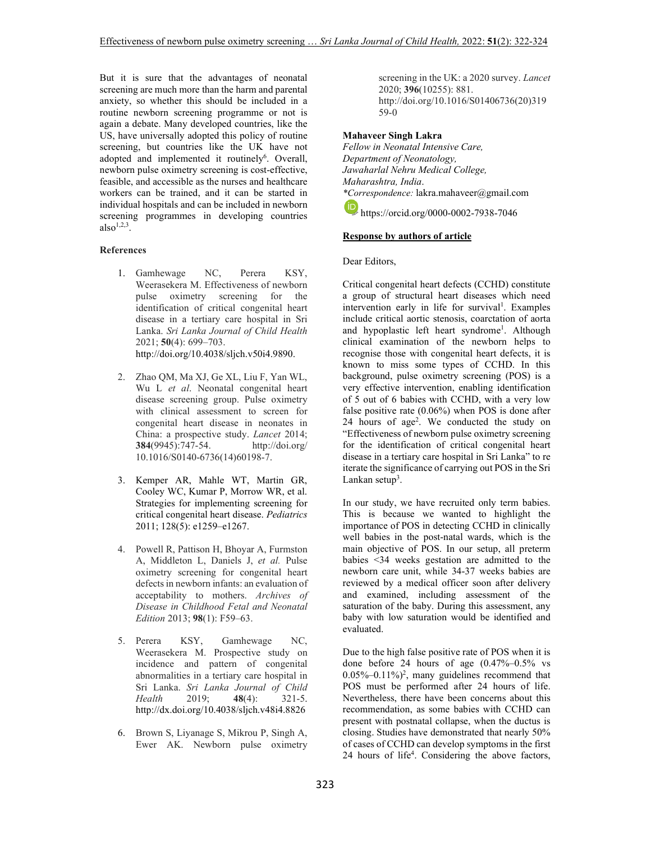But it is sure that the advantages of neonatal screening are much more than the harm and parental anxiety, so whether this should be included in a routine newborn screening programme or not is again a debate. Many developed countries, like the US, have universally adopted this policy of routine screening, but countries like the UK have not adopted and implemented it routinely<sup>6</sup>. Overall, newborn pulse oximetry screening is cost-effective, feasible, and accessible as the nurses and healthcare workers can be trained, and it can be started in individual hospitals and can be included in newborn screening programmes in developing countries also $^{1,2,3}$ .

## **References**

- 1. Gamhewage NC, Perera KSY, Weerasekera M. Effectiveness of newborn pulse oximetry screening for the identification of critical congenital heart disease in a tertiary care hospital in Sri Lanka. *Sri Lanka Journal of Child Health* 2021; **50**(4): 699–703. http://doi.org/10.4038/sljch.v50i4.9890.
- 2. Zhao QM, Ma XJ, Ge XL, Liu F, Yan WL, Wu L *et al*. Neonatal congenital heart disease screening group. Pulse oximetry with clinical assessment to screen for congenital heart disease in neonates in China: a prospective study. *Lancet* 2014; **384**(9945):747-54. http://doi.org/ 10.1016/S0140-6736(14)60198-7.
- 3. Kemper AR, Mahle WT, Martin GR, Cooley WC, Kumar P, Morrow WR, et al. Strategies for implementing screening for critical congenital heart disease. *Pediatrics* 2011; 128(5): e1259–e1267.
- 4. Powell R, Pattison H, Bhoyar A, Furmston A, Middleton L, Daniels J, *et al.* Pulse oximetry screening for congenital heart defects in newborn infants: an evaluation of acceptability to mothers. *Archives of Disease in Childhood Fetal and Neonatal Edition* 2013; **98**(1): F59–63.
- 5. Perera KSY, Gamhewage NC, Weerasekera M. Prospective study on incidence and pattern of congenital abnormalities in a tertiary care hospital in Sri Lanka. *Sri Lanka Journal of Child Health* 2019; **48**(4): 321-5. http://dx.doi.org/10.4038/sljch.v48i4.8826
- 6. Brown S, Liyanage S, Mikrou P, Singh A, Ewer AK. Newborn pulse oximetry

screening in the UK: a 2020 survey. *Lancet* 2020; **396**(10255): 881. http://doi.org/10.1016/S01406736(20)319 59-0

# **Mahaveer Singh Lakra**

*Fellow in Neonatal Intensive Care, Department of Neonatology, Jawaharlal Nehru Medical College, Maharashtra, India*. *\*Correspondence:* lakra.mahaveer@gmail.com https://orcid.org/0000-0002-7938-7046

## **Response by authors of article**

Dear Editors,

Critical congenital heart defects (CCHD) constitute a group of structural heart diseases which need intervention early in life for survival<sup>1</sup>. Examples include critical aortic stenosis, coarctation of aorta and hypoplastic left heart syndrome<sup>1</sup>. Although clinical examination of the newborn helps to recognise those with congenital heart defects, it is known to miss some types of CCHD. In this background, pulse oximetry screening (POS) is a very effective intervention, enabling identification of 5 out of 6 babies with CCHD, with a very low false positive rate (0.06%) when POS is done after 24 hours of age<sup>2</sup> . We conducted the study on "Effectiveness of newborn pulse oximetry screening for the identification of critical congenital heart disease in a tertiary care hospital in Sri Lanka" to re iterate the significance of carrying out POS in the Sri Lankan setup<sup>3</sup>.

In our study, we have recruited only term babies. This is because we wanted to highlight the importance of POS in detecting CCHD in clinically well babies in the post-natal wards, which is the main objective of POS. In our setup, all preterm babies <34 weeks gestation are admitted to the newborn care unit, while 34-37 weeks babies are reviewed by a medical officer soon after delivery and examined, including assessment of the saturation of the baby. During this assessment, any baby with low saturation would be identified and evaluated.

Due to the high false positive rate of POS when it is done before 24 hours of age (0.47%–0.5% vs  $0.05\% - 0.11\%$ ?, many guidelines recommend that POS must be performed after 24 hours of life. Nevertheless, there have been concerns about this recommendation, as some babies with CCHD can present with postnatal collapse, when the ductus is closing. Studies have demonstrated that nearly 50% of cases of CCHD can develop symptoms in the first 24 hours of life<sup>4</sup>. Considering the above factors,